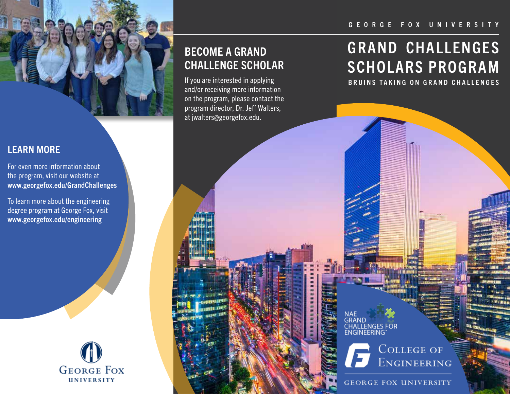#### GEORGE FOX UNIVERSITY



## LEARN MORE

For even more information about the program, visit our website at www.georgefox.edu/GrandChallenges

To learn more about the engineering degree program at George Fox, visit www.georgefox.edu/engineering



## BECOME A GRAND CHALLENGE SCHOLAR

and/or receiving more information on the program, please contact the program director, Dr. Jeff Walters, at jwalters@georgefox.edu.

# GRAND CHALLENGES SCHOLARS PROGRAM

If you are interested in applying **Example 20 Inc.** BRUINS TAKING ON GRAND CHALLENGES

GRAND **CHALLENGES FOR** FNGINFFRING

> **COLLEGE OF** ENGINEERING

**GEORGE FOX UNIVERSITY**